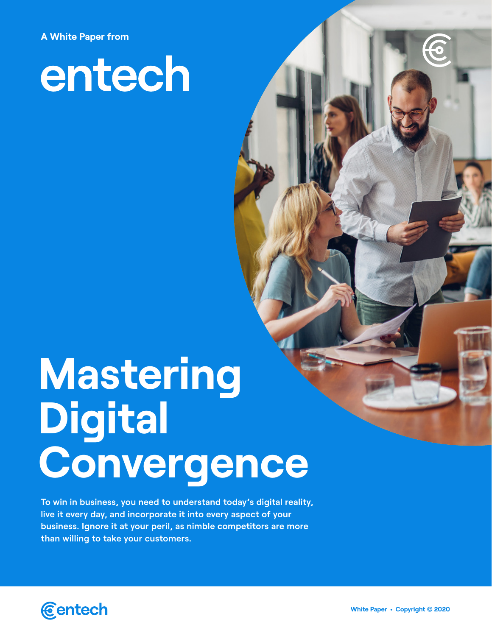**A White Paper from**

# entech

# **Mastering Digital Convergence**

**To win in business, you need to understand today's digital reality, live it every day, and incorporate it into every aspect of your business. Ignore it at your peril, as nimble competitors are more than willing to take your customers.** 



**White Paper • Copyright** © **2020**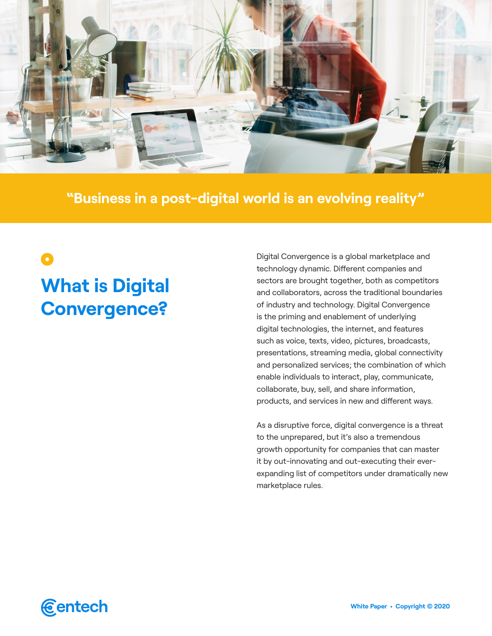

**"Business in a post-digital world is an evolving reality"**

# $\bullet$ **What is Digital Convergence?**

Digital Convergence is a global marketplace and technology dynamic. Different companies and sectors are brought together, both as competitors and collaborators, across the traditional boundaries of industry and technology. Digital Convergence is the priming and enablement of underlying digital technologies, the internet, and features such as voice, texts, video, pictures, broadcasts, presentations, streaming media, global connectivity and personalized services; the combination of which enable individuals to interact, play, communicate, collaborate, buy, sell, and share information, products, and services in new and different ways.

As a disruptive force, digital convergence is a threat to the unprepared, but it's also a tremendous growth opportunity for companies that can master it by out-innovating and out-executing their everexpanding list of competitors under dramatically new marketplace rules.

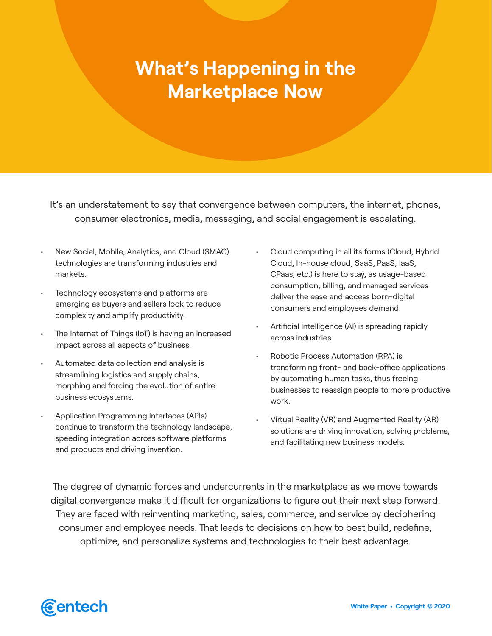## **What's Happening in the Marketplace Now**

It's an understatement to say that convergence between computers, the internet, phones, consumer electronics, media, messaging, and social engagement is escalating.

- New Social, Mobile, Analytics, and Cloud (SMAC) technologies are transforming industries and markets.
- Technology ecosystems and platforms are emerging as buyers and sellers look to reduce complexity and amplify productivity.
- The Internet of Things (IoT) is having an increased impact across all aspects of business.
- Automated data collection and analysis is streamlining logistics and supply chains, morphing and forcing the evolution of entire business ecosystems.
- Application Programming Interfaces (APIs) continue to transform the technology landscape, speeding integration across software platforms and products and driving invention.
- Cloud computing in all its forms (Cloud, Hybrid Cloud, In-house cloud, SaaS, PaaS, IaaS, CPaas, etc.) is here to stay, as usage-based consumption, billing, and managed services deliver the ease and access born-digital consumers and employees demand.
- Artificial Intelligence (AI) is spreading rapidly across industries.
- Robotic Process Automation (RPA) is transforming front- and back-office applications by automating human tasks, thus freeing businesses to reassign people to more productive work.
- Virtual Reality (VR) and Augmented Reality (AR) solutions are driving innovation, solving problems, and facilitating new business models.

The degree of dynamic forces and undercurrents in the marketplace as we move towards digital convergence make it difficult for organizations to figure out their next step forward. They are faced with reinventing marketing, sales, commerce, and service by deciphering consumer and employee needs. That leads to decisions on how to best build, redefine, optimize, and personalize systems and technologies to their best advantage.

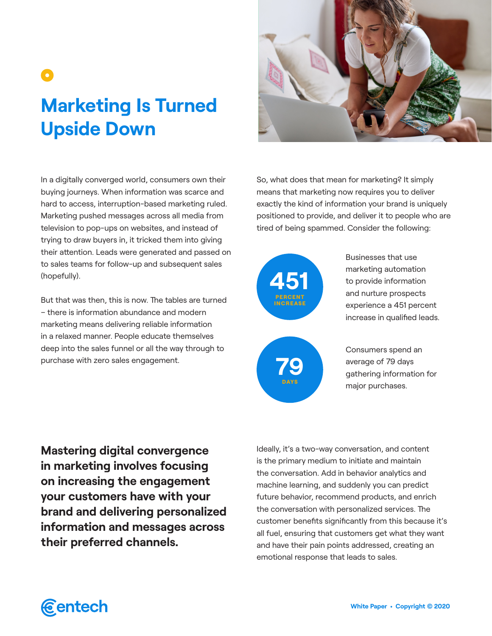# $\bullet$ **Marketing Is Turned Upside Down**

In a digitally converged world, consumers own their buying journeys. When information was scarce and hard to access, interruption-based marketing ruled. Marketing pushed messages across all media from television to pop-ups on websites, and instead of trying to draw buyers in, it tricked them into giving their attention. Leads were generated and passed on to sales teams for follow-up and subsequent sales (hopefully).

But that was then, this is now. The tables are turned – there is information abundance and modern marketing means delivering reliable information in a relaxed manner. People educate themselves deep into the sales funnel or all the way through to purchase with zero sales engagement.

So, what does that mean for marketing? It simply means that marketing now requires you to deliver exactly the kind of information your brand is uniquely positioned to provide, and deliver it to people who are tired of being spammed. Consider the following:



DAYS

Businesses that use marketing automation to provide information and nurture prospects experience a 451 percent increase in qualified leads.

Consumers spend an average of 79 days gathering information for major purchases.

**Mastering digital convergence in marketing involves focusing on increasing the engagement your customers have with your brand and delivering personalized information and messages across their preferred channels.** 

Ideally, it's a two-way conversation, and content is the primary medium to initiate and maintain the conversation. Add in behavior analytics and machine learning, and suddenly you can predict future behavior, recommend products, and enrich the conversation with personalized services. The customer benefits significantly from this because it's all fuel, ensuring that customers get what they want and have their pain points addressed, creating an emotional response that leads to sales.

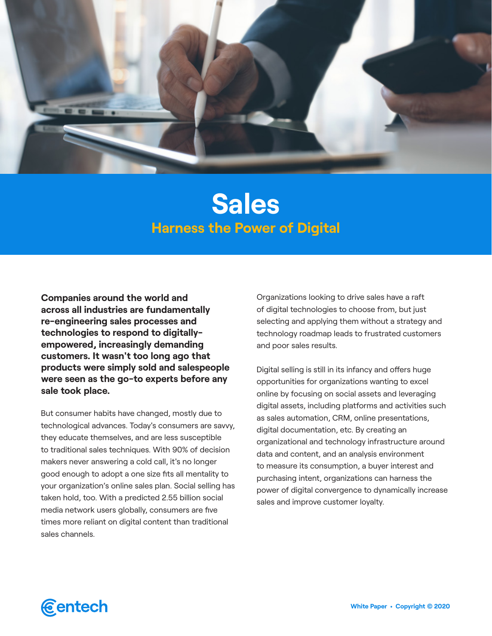

### **Sales Harness the Power of Digital**

**Companies around the world and across all industries are fundamentally re-engineering sales processes and technologies to respond to digitallyempowered, increasingly demanding customers. It wasn't too long ago that products were simply sold and salespeople were seen as the go-to experts before any sale took place.**

But consumer habits have changed, mostly due to technological advances. Today's consumers are savvy, they educate themselves, and are less susceptible to traditional sales techniques. With 90% of decision makers never answering a cold call, it's no longer good enough to adopt a one size fits all mentality to your organization's online sales plan. Social selling has taken hold, too. With a predicted 2.55 billion social media network users globally, consumers are five times more reliant on digital content than traditional sales channels.

Organizations looking to drive sales have a raft of digital technologies to choose from, but just selecting and applying them without a strategy and technology roadmap leads to frustrated customers and poor sales results.

Digital selling is still in its infancy and offers huge opportunities for organizations wanting to excel online by focusing on social assets and leveraging digital assets, including platforms and activities such as sales automation, CRM, online presentations, digital documentation, etc. By creating an organizational and technology infrastructure around data and content, and an analysis environment to measure its consumption, a buyer interest and purchasing intent, organizations can harness the power of digital convergence to dynamically increase sales and improve customer loyalty.

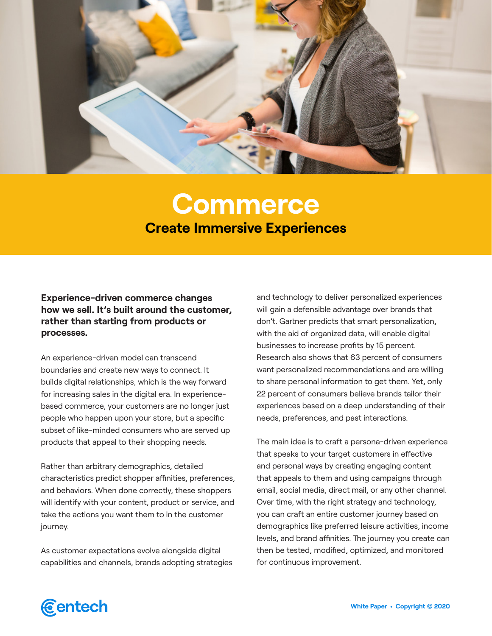

## **Commerce Create Immersive Experiences**

**Experience-driven commerce changes how we sell. It's built around the customer, rather than starting from products or processes.** 

An experience-driven model can transcend boundaries and create new ways to connect. It builds digital relationships, which is the way forward for increasing sales in the digital era. In experiencebased commerce, your customers are no longer just people who happen upon your store, but a specific subset of like-minded consumers who are served up products that appeal to their shopping needs.

Rather than arbitrary demographics, detailed characteristics predict shopper affinities, preferences, and behaviors. When done correctly, these shoppers will identify with your content, product or service, and take the actions you want them to in the customer journey.

As customer expectations evolve alongside digital capabilities and channels, brands adopting strategies

and technology to deliver personalized experiences will gain a defensible advantage over brands that don't. Gartner predicts that smart personalization, with the aid of organized data, will enable digital businesses to increase profits by 15 percent. Research also shows that 63 percent of consumers want personalized recommendations and are willing to share personal information to get them. Yet, only 22 percent of consumers believe brands tailor their experiences based on a deep understanding of their needs, preferences, and past interactions.

The main idea is to craft a persona-driven experience that speaks to your target customers in effective and personal ways by creating engaging content that appeals to them and using campaigns through email, social media, direct mail, or any other channel. Over time, with the right strategy and technology, you can craft an entire customer journey based on demographics like preferred leisure activities, income levels, and brand affinities. The journey you create can then be tested, modified, optimized, and monitored for continuous improvement.

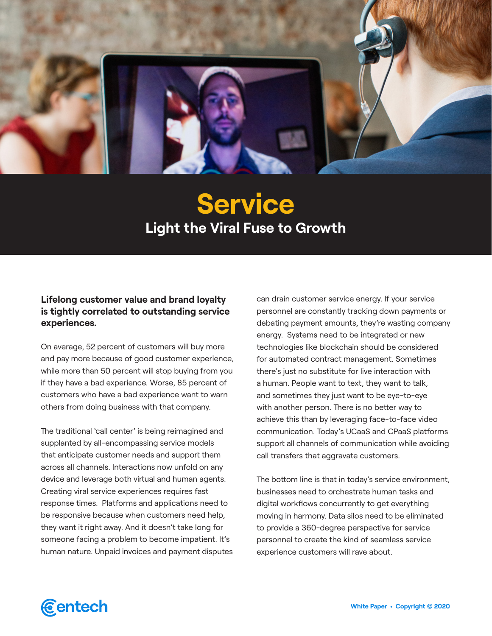

# **Service Light the Viral Fuse to Growth**

#### **Lifelong customer value and brand loyalty is tightly correlated to outstanding service experiences.**

On average, 52 percent of customers will buy more and pay more because of good customer experience, while more than 50 percent will stop buying from you if they have a bad experience. Worse, 85 percent of customers who have a bad experience want to warn others from doing business with that company.

The traditional 'call center' is being reimagined and supplanted by all-encompassing service models that anticipate customer needs and support them across all channels. Interactions now unfold on any device and leverage both virtual and human agents. Creating viral service experiences requires fast response times. Platforms and applications need to be responsive because when customers need help, they want it right away. And it doesn't take long for someone facing a problem to become impatient. It's human nature. Unpaid invoices and payment disputes

can drain customer service energy. If your service personnel are constantly tracking down payments or debating payment amounts, they're wasting company energy. Systems need to be integrated or new technologies like blockchain should be considered for automated contract management. Sometimes there's just no substitute for live interaction with a human. People want to text, they want to talk, and sometimes they just want to be eye-to-eye with another person. There is no better way to achieve this than by leveraging face-to-face video communication. Today's UCaaS and CPaaS platforms support all channels of communication while avoiding call transfers that aggravate customers.

The bottom line is that in today's service environment, businesses need to orchestrate human tasks and digital workflows concurrently to get everything moving in harmony. Data silos need to be eliminated to provide a 360-degree perspective for service personnel to create the kind of seamless service experience customers will rave about.